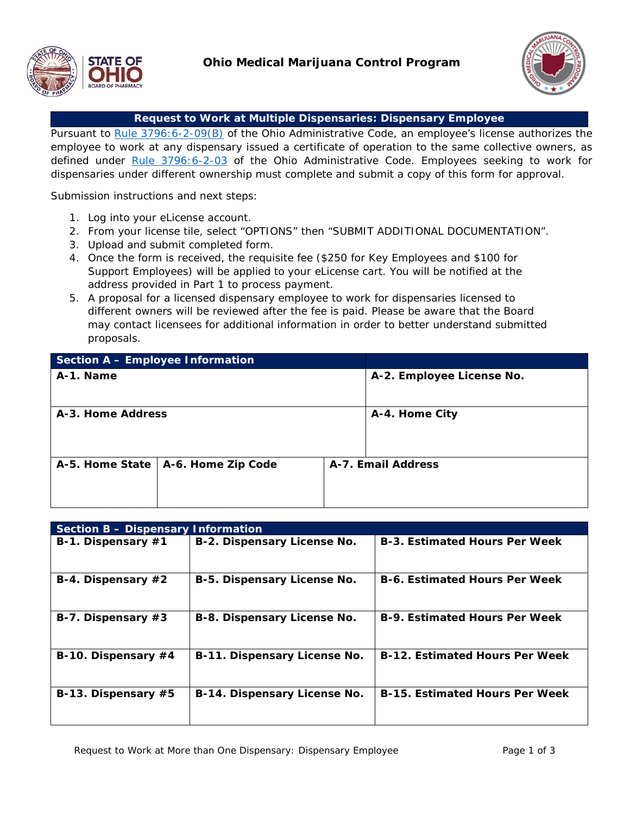



## **Request to Work at Multiple Dispensaries: Dispensary Employee**

Pursuant to [Rule 3796:6-2-09\(B\)](http://codes.ohio.gov/oac/3796:6-2-09) of the Ohio Administrative Code, an employee's license authorizes the employee to work at any dispensary issued a certificate of operation to the same collective owners, as defined under [Rule 3796:6-2-03](http://codes.ohio.gov/oac/3796:6-2-03) of the Ohio Administrative Code. Employees seeking to work for dispensaries under different ownership must complete and submit a copy of this form for approval.

Submission instructions and next steps:

- 1. Log into your eLicense account.
- 2. From your license tile, select "OPTIONS" then "SUBMIT ADDITIONAL DOCUMENTATION".
- 3. Upload and submit completed form.
- 4. Once the form is received, the requisite fee (\$250 for Key Employees and \$100 for Support Employees) will be applied to your eLicense cart. You will be notified at the address provided in Part 1 to process payment.
- 5. A proposal for a licensed dispensary employee to work for dispensaries licensed to different owners will be reviewed after the fee is paid. Please be aware that the Board may contact licensees for additional information in order to better understand submitted proposals.

| <b>Section A - Employee Information</b> |                                      |                    |                           |
|-----------------------------------------|--------------------------------------|--------------------|---------------------------|
| A-1. Name                               |                                      |                    | A-2. Employee License No. |
|                                         |                                      |                    |                           |
| A-3. Home Address                       |                                      | A-4. Home City     |                           |
|                                         |                                      |                    |                           |
|                                         |                                      |                    |                           |
|                                         | A-5. Home State   A-6. Home Zip Code | A-7. Email Address |                           |
|                                         |                                      |                    |                           |
|                                         |                                      |                    |                           |

| Section B - Dispensary Information |                              |                                       |  |  |
|------------------------------------|------------------------------|---------------------------------------|--|--|
| B-1. Dispensary #1                 | B-2. Dispensary License No.  | <b>B-3. Estimated Hours Per Week</b>  |  |  |
| B-4. Dispensary $#2$               | B-5. Dispensary License No.  | <b>B-6. Estimated Hours Per Week</b>  |  |  |
| B-7. Dispensary $#3$               | B-8. Dispensary License No.  | <b>B-9. Estimated Hours Per Week</b>  |  |  |
| B-10. Dispensary $#4$              | B-11. Dispensary License No. | <b>B-12. Estimated Hours Per Week</b> |  |  |
| B-13. Dispensary #5                | B-14. Dispensary License No. | <b>B-15. Estimated Hours Per Week</b> |  |  |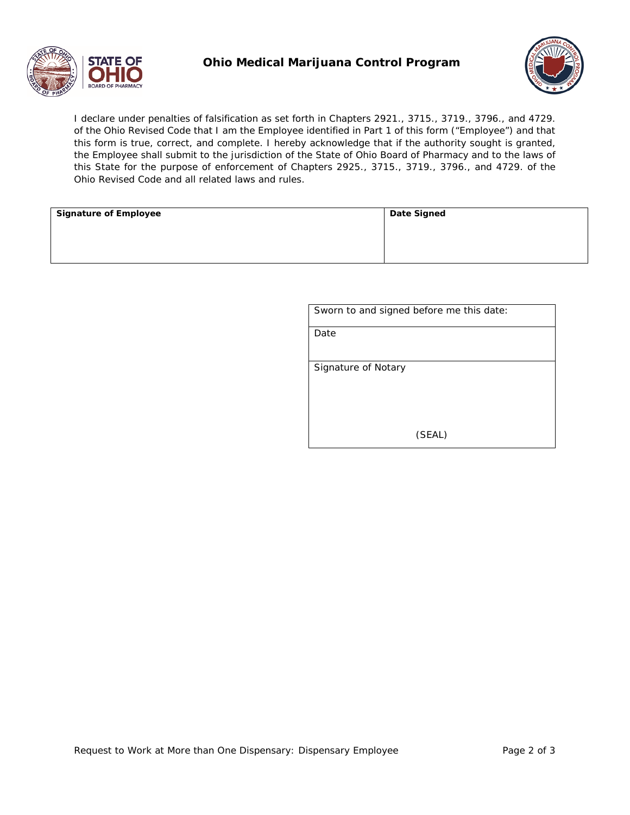

## **Ohio Medical Marijuana Control Program**



I declare under penalties of falsification as set forth in Chapters 2921., 3715., 3719., 3796., and 4729. of the Ohio Revised Code that I am the Employee identified in Part 1 of this form ("Employee") and that this form is true, correct, and complete. I hereby acknowledge that if the authority sought is granted, the Employee shall submit to the jurisdiction of the State of Ohio Board of Pharmacy and to the laws of this State for the purpose of enforcement of Chapters 2925., 3715., 3719., 3796., and 4729. of the Ohio Revised Code and all related laws and rules.

| <b>Signature of Employee</b> | Date Signed |
|------------------------------|-------------|
|                              |             |
|                              |             |
|                              |             |

| Sworn to and signed before me this date: |
|------------------------------------------|
| Date                                     |
|                                          |
| Signature of Notary                      |
| (SEAL)                                   |
|                                          |